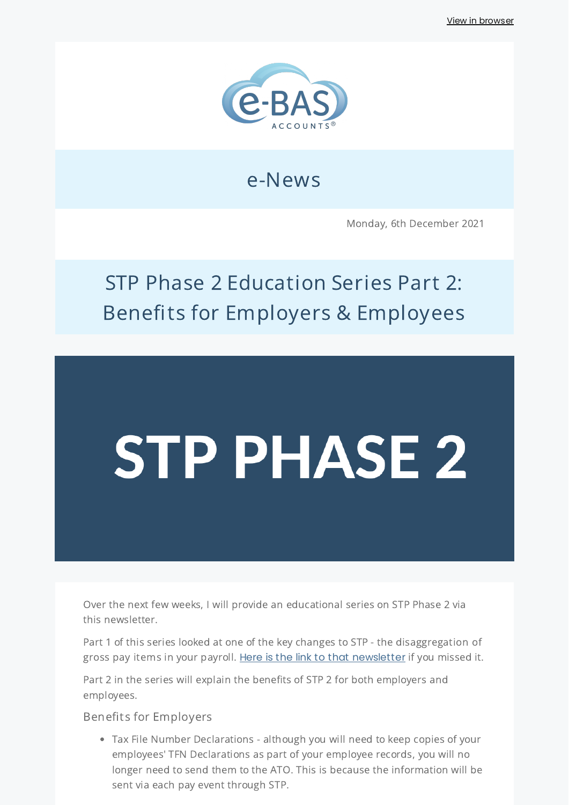

## e-News

Monday, 6th December 2021

## STP Phase 2 Education Series Part 2: Benefits for Employers & Employees

# STP PHASE 2

Over the next few weeks, I will provide an educational series on STP Phase 2 via this newsletter.

Part 1 of this series looked at one of the key changes to STP - the disaggregation of gross pay items in your payroll. Here is the link to that [newsletter](https://bit.ly/3IkFlBd) if you missed it.

Part 2 in the series will explain the benefits of STP 2 for both employers and employees.

Benefits for Employers

Tax File Number Declarations - although you will need to keep copies of your employees' TFN Declarations as part of your employee records, you will no longer need to send them to the ATO. This is because the information will be sent via each pay event through STP.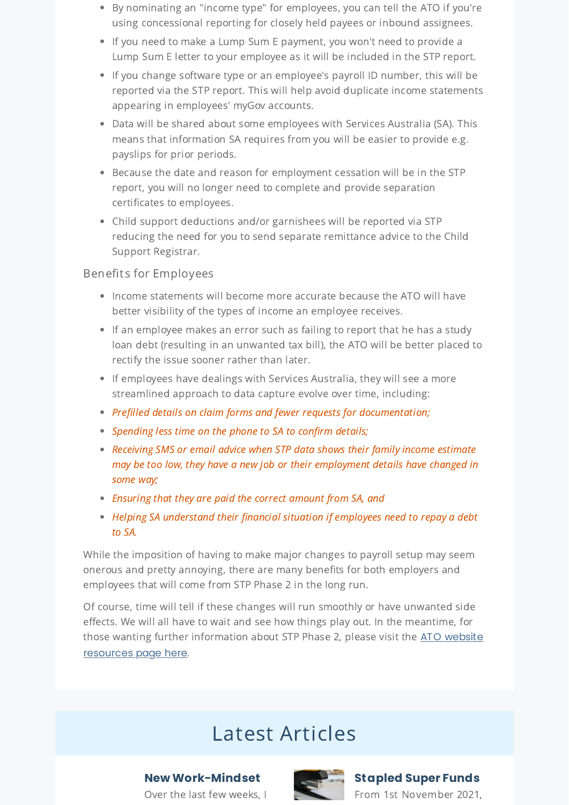- By nominating an "income type" for employees, you can tell the ATO if you're using concessional reporting for closely held payees or inbound assignees.
- If you need to make a Lump Sum E payment, you won't need to provide a Lump Sum E letter to your employee as it will be included in the STP report.
- If you change software type or an employee's payroll ID number, this will be reported via the STP report. This will help avoid duplicate income statements appearing in employees' myGov accounts.
- Data will be shared about some employees with Services Australia (SA). This means that information SA requires from you will be easier to provide e.g. payslips for prior periods.
- Because the date and reason for employment cessation will be in the STP report, you will no longer need to complete and provide separation certificates to employees.
- Child support deductions and/or garnishees will be reported via STP reducing the need for you to send separate remittance advice to the Child Support Registrar.

### Benefits for Employees

- Income statements will become more accurate because the ATO will have better visibility of the types of income an employee receives.
- If an employee makes an error such as failing to report that he has a study loan debt (resulting in an unwanted tax bill), the ATO will be better placed to rectify the issue sooner rather than later.
- If employees have dealings with Services Australia, they will see a more streamlined approach to data capture evolve over time, including:
- Prefilled details on claim forms and fewer requests for documentation;
- Spending less time on the phone to SA to confirm details;
- Receiving SMS or email advice when STP data shows their family income estimate may be too low, they have a new job or their employment details have changed in some way;
- Ensuring that they are paid the correct amount from SA, and
- Helping SA understand their financial situation if employees need to repay a debt to SA.

While the imposition of having to make major changes to payroll setup may seem onerous and pretty annoying, there are many benefits for both employers and employees that will come from STP Phase 2 in the long run.

Of course, time will tell if these changes will run smoothly or have unwanted side effects. We will all have to wait and see how things play out. In the meantime, for those wanting further [information](https://www.ato.gov.au/Business/Single-Touch-Payroll/Expanding-Single-Touch-Payroll-(Phase-2)/) about STP Phase 2, please visit the ATO website resources page here.

## Latest Articles

#### **New [Work-Mindset](https://www.e-bas.com.au/new-work-mindset/)**

Over the last few weeks, I



### **[Stapled](https://www.e-bas.com.au/stapled-super-funds/) Super Funds** From 1st November 2021,